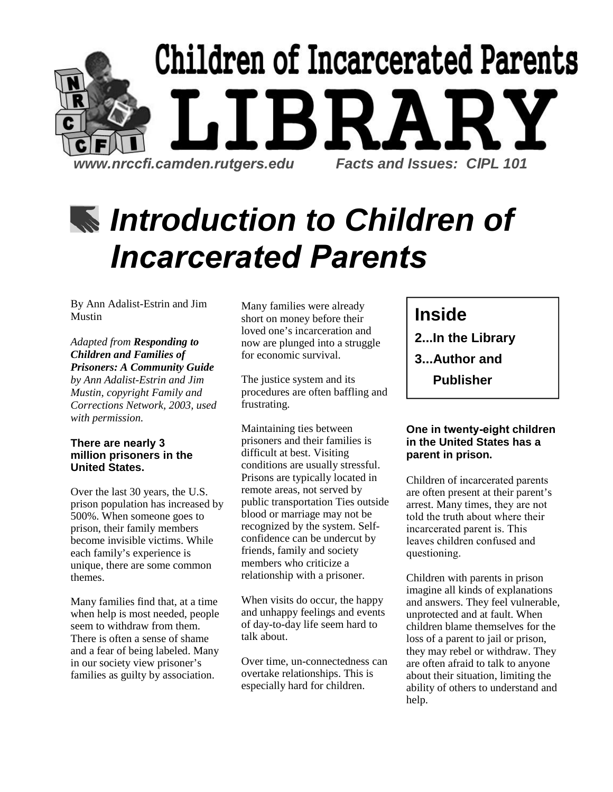

# *Introduction to Children of Incarcerated Parents*

By Ann Adalist-Estrin and Jim Mustin

*Adapted from Responding to Children and Families of Prisoners: A Community Guide by Ann Adalist-Estrin and Jim Mustin, copyright Family and* 

*Corrections Network, 2003, used with permission.*

#### **There are nearly 3 million prisoners in the United States.**

Over the last 30 years, the U.S. prison population has increased by 500%. When someone goes to prison, their family members become invisible victims. While each family's experience is unique, there are some common themes.

Many families find that, at a time when help is most needed, people seem to withdraw from them. There is often a sense of shame and a fear of being labeled. Many in our society view prisoner's families as guilty by association.

Many families were already short on money before their loved one's incarceration and now are plunged into a struggle for economic survival.

The justice system and its procedures are often baffling and frustrating.

Maintaining ties between prisoners and their families is difficult at best. Visiting conditions are usually stressful. Prisons are typically located in remote areas, not served by public transportation Ties outside blood or marriage may not be recognized by the system. Selfconfidence can be undercut by friends, family and society members who criticize a relationship with a prisoner.

When visits do occur, the happy and unhappy feelings and events of day-to-day life seem hard to talk about.

Over time, un-connectedness can overtake relationships. This is especially hard for children.

## **Inside**

- **2...In the Library**
- **3...Author and** 
	- **Publisher**

#### **One in twenty-eight children in the United States has a parent in prison.**

Children of incarcerated parents are often present at their parent's arrest. Many times, they are not told the truth about where their incarcerated parent is. This leaves children confused and questioning.

Children with parents in prison imagine all kinds of explanations and answers. They feel vulnerable, unprotected and at fault. When children blame themselves for the loss of a parent to jail or prison, they may rebel or withdraw. They are often afraid to talk to anyone about their situation, limiting the ability of others to understand and help.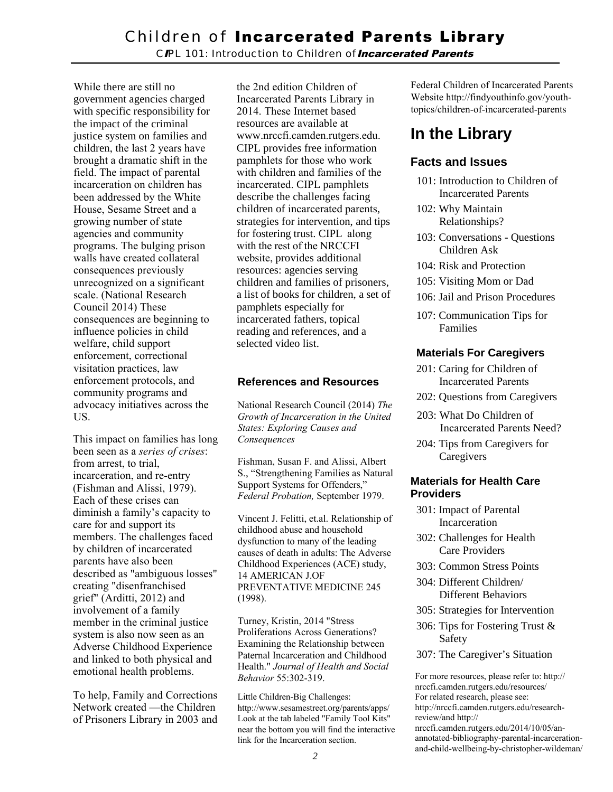*C*I*PL 101: Introduction to Children of*Incarcerated Parents

While there are still no government agencies charged with specific responsibility for the impact of the criminal justice system on families and children, the last 2 years have brought a dramatic shift in the field. The impact of parental incarceration on children has been addressed by the White House, Sesame Street and a growing number of state agencies and community programs. The bulging prison walls have created collateral consequences previously unrecognized on a significant scale. (National Research Council 2014) These consequences are beginning to influence policies in child welfare, child support enforcement, correctional visitation practices, law enforcement protocols, and community programs and advocacy initiatives across the US.

This impact on families has long been seen as a *series of crises*: from arrest, to trial, incarceration, and re-entry (Fishman and Alissi, 1979). Each of these crises can diminish a family's capacity to care for and support its members. The challenges faced by children of incarcerated parents have also been described as "ambiguous losses" creating "disenfranchised grief" (Arditti, 2012) and involvement of a family member in the criminal justice system is also now seen as an Adverse Childhood Experience and linked to both physical and emotional health problems.

To help, Family and Corrections Network created —the Children of Prisoners Library in 2003 and the 2nd edition Children of Incarcerated Parents Library in 2014. These Internet based resources are available at www.nrccfi.camden.rutgers.edu. CIPL provides free information pamphlets for those who work with children and families of the incarcerated. CIPL pamphlets describe the challenges facing children of incarcerated parents, strategies for intervention, and tips for fostering trust. CIPL along with the rest of the NRCCFI website, provides additional resources: agencies serving children and families of prisoners, a list of books for children, a set of pamphlets especially for incarcerated fathers, topical reading and references, and a selected video list.

#### **References and Resources**

National Research Council (2014) *The Growth of Incarceration in the United States: Exploring Causes and Consequences*

Fishman, Susan F. and Alissi, Albert S., "Strengthening Families as Natural Support Systems for Offenders," *Federal Probation,* September 1979.

Vincent J. Felitti, et.al. Relationship of childhood abuse and household dysfunction to many of the leading causes of death in adults: The Adverse Childhood Experiences (ACE) study, 14 AMERICAN J.OF PREVENTATIVE MEDICINE 245 (1998).

Turney, Kristin, 2014 "Stress Proliferations Across Generations? Examining the Relationship between Paternal Incarceration and Childhood Health." *Journal of Health and Social Behavior* 55:302-319.

Little Children-Big Challenges: http://www.sesamestreet.org/parents/apps/ Look at the tab labeled "Family Tool Kits" near the bottom you will find the interactive link for the Incarceration section.

Federal Children of Incarcerated Parents Website http://findyouthinfo.gov/youthtopics/children-of-incarcerated-parents

## **In the Library**

#### **Facts and Issues**

- 101: Introduction to Children of Incarcerated Parents
- 102: Why Maintain Relationships?
- 103: Conversations Questions Children Ask
- 104: Risk and Protection
- 105: Visiting Mom or Dad
- 106: Jail and Prison Procedures
- 107: Communication Tips for Families

#### **Materials For Caregivers**

- 201: Caring for Children of Incarcerated Parents
- 202: Questions from Caregivers
- 203: What Do Children of Incarcerated Parents Need?
- 204: Tips from Caregivers for **Caregivers**

#### **Materials for Health Care Providers**

- 301: Impact of Parental Incarceration
- 302: Challenges for Health Care Providers
- 303: Common Stress Points
- 304: Different Children/ Different Behaviors
- 305: Strategies for Intervention
- 306: Tips for Fostering Trust & Safety
- 307: The Caregiver's Situation

For more resources, please refer to: http:// nrccfi.camden.rutgers.edu/resources/ For related research, please see: http://nrccfi.camden.rutgers.edu/researchreview/and http:// nrccfi.camden.rutgers.edu/2014/10/05/anannotated-bibliography-parental-incarcerationand-child-wellbeing-by-christopher-wildeman/